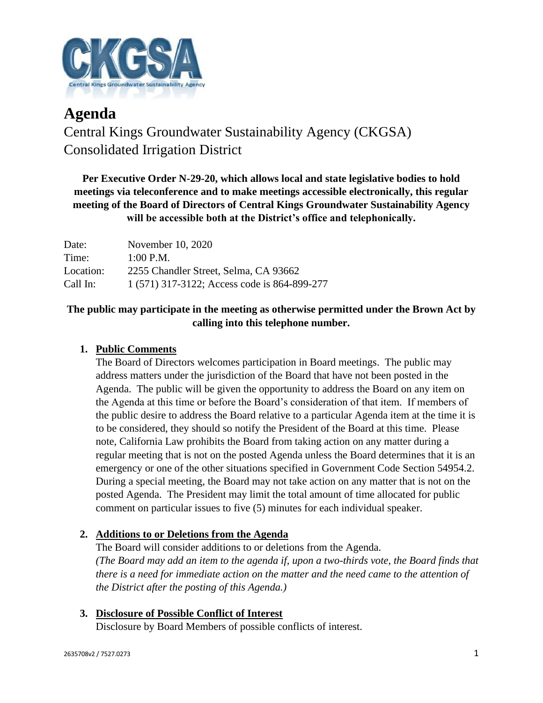

# **Agenda** Central Kings Groundwater Sustainability Agency (CKGSA) Consolidated Irrigation District

**Per Executive Order N-29-20, which allows local and state legislative bodies to hold meetings via teleconference and to make meetings accessible electronically, this regular meeting of the Board of Directors of Central Kings Groundwater Sustainability Agency will be accessible both at the District's office and telephonically.**

| Date:     | November 10, 2020                            |
|-----------|----------------------------------------------|
| Time:     | $1:00$ P.M.                                  |
| Location: | 2255 Chandler Street, Selma, CA 93662        |
| Call In:  | 1 (571) 317-3122; Access code is 864-899-277 |

## **The public may participate in the meeting as otherwise permitted under the Brown Act by calling into this telephone number.**

## **1. Public Comments**

The Board of Directors welcomes participation in Board meetings. The public may address matters under the jurisdiction of the Board that have not been posted in the Agenda. The public will be given the opportunity to address the Board on any item on the Agenda at this time or before the Board's consideration of that item. If members of the public desire to address the Board relative to a particular Agenda item at the time it is to be considered, they should so notify the President of the Board at this time. Please note, California Law prohibits the Board from taking action on any matter during a regular meeting that is not on the posted Agenda unless the Board determines that it is an emergency or one of the other situations specified in Government Code Section 54954.2. During a special meeting, the Board may not take action on any matter that is not on the posted Agenda. The President may limit the total amount of time allocated for public comment on particular issues to five (5) minutes for each individual speaker.

### **2. Additions to or Deletions from the Agenda**

The Board will consider additions to or deletions from the Agenda. *(The Board may add an item to the agenda if, upon a two-thirds vote, the Board finds that there is a need for immediate action on the matter and the need came to the attention of the District after the posting of this Agenda.)*

# **3. Disclosure of Possible Conflict of Interest**

Disclosure by Board Members of possible conflicts of interest.